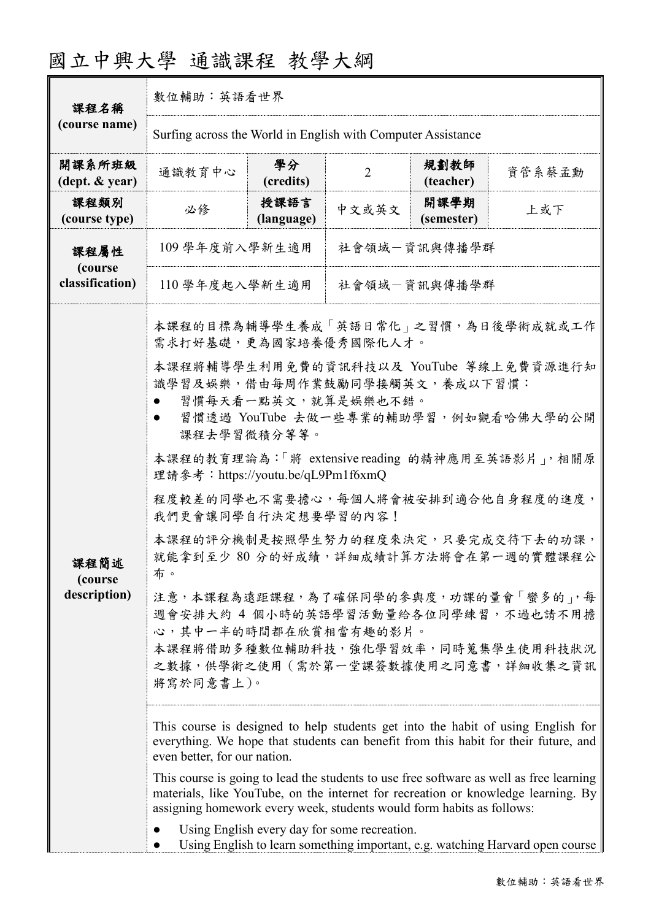| 國立中興大學 通識課程 教學大綱 |  |  |
|------------------|--|--|
|------------------|--|--|

| 課程名稱                               | 數位輔助:英語看世界                                                                                                                                                                                                                                                                                                                                                                                                                                                                                                                                                                                                                                                                                                                                                                                                                                                                                                                                                                                                                                                                                                                                                                                                           |                    |                |                    |        |
|------------------------------------|----------------------------------------------------------------------------------------------------------------------------------------------------------------------------------------------------------------------------------------------------------------------------------------------------------------------------------------------------------------------------------------------------------------------------------------------------------------------------------------------------------------------------------------------------------------------------------------------------------------------------------------------------------------------------------------------------------------------------------------------------------------------------------------------------------------------------------------------------------------------------------------------------------------------------------------------------------------------------------------------------------------------------------------------------------------------------------------------------------------------------------------------------------------------------------------------------------------------|--------------------|----------------|--------------------|--------|
| (course name)                      | Surfing across the World in English with Computer Assistance                                                                                                                                                                                                                                                                                                                                                                                                                                                                                                                                                                                                                                                                                                                                                                                                                                                                                                                                                                                                                                                                                                                                                         |                    |                |                    |        |
| 開課系所班級<br>(dept. & year)           | 通識教育中心                                                                                                                                                                                                                                                                                                                                                                                                                                                                                                                                                                                                                                                                                                                                                                                                                                                                                                                                                                                                                                                                                                                                                                                                               | 學分<br>(credits)    | $\overline{2}$ | 規劃教師<br>(teacher)  | 資管系蔡孟勳 |
| 課程類別<br>(course type)              | 必修                                                                                                                                                                                                                                                                                                                                                                                                                                                                                                                                                                                                                                                                                                                                                                                                                                                                                                                                                                                                                                                                                                                                                                                                                   | 授課語言<br>(language) | 中文或英文          | 開課學期<br>(semester) | 上或下    |
| 課程屬性<br>(course<br>classification) | 109 學年度前入學新生適用<br>社會領域一資訊與傳播學群                                                                                                                                                                                                                                                                                                                                                                                                                                                                                                                                                                                                                                                                                                                                                                                                                                                                                                                                                                                                                                                                                                                                                                                       |                    |                |                    |        |
|                                    |                                                                                                                                                                                                                                                                                                                                                                                                                                                                                                                                                                                                                                                                                                                                                                                                                                                                                                                                                                                                                                                                                                                                                                                                                      |                    |                |                    |        |
| 課程簡述<br>(course)<br>description)   | 110 學年度起入學新生適用<br>社會領域一資訊與傳播學群<br>本課程的目標為輔導學生養成「英語日常化」之習慣,為日後學術成就或工作<br>需求打好基礎,更為國家培養優秀國際化人才。<br>本課程將輔導學生利用免費的資訊科技以及 YouTube 等線上免費資源進行知<br>識學習及娛樂,借由每周作業鼓勵同學接觸英文,養成以下習慣:<br>習慣每天看一點英文,就算是娛樂也不錯。<br>習慣透過 YouTube 去做一些專業的輔助學習,例如觀看哈佛大學的公開<br>課程去學習微積分等等。<br>本課程的教育理論為:「將 extensive reading 的精神應用至英語影片」,相關原<br>理請參考: https://youtu.be/qL9Pm1f6xmQ<br>程度較差的同學也不需要擔心,每個人將會被安排到適合他自身程度的進度,<br>我們更會讓同學自行決定想要學習的內容!<br>本課程的評分機制是按照學生努力的程度來決定,只要完成交待下去的功課,<br>就能拿到至少 80 分的好成績,詳細成績計算方法將會在第一週的實體課程公<br>布。<br>注意,本課程為遠距課程,為了確保同學的參與度,功課的量會「蠻多的」,每<br>週會安排大約 4 個小時的英語學習活動量給各位同學練習,不過也請不用擔<br>心,其中一半的時間都在欣賞相當有趣的影片。<br>本課程將借助多種數位輔助科技,強化學習效率,同時蒐集學生使用科技狀況<br>之數據,供學術之使用 (需於第一堂課簽數據使用之同意書,詳細收集之資訊<br>將寫於同意書上)。<br>This course is designed to help students get into the habit of using English for<br>everything. We hope that students can benefit from this habit for their future, and<br>even better, for our nation.<br>This course is going to lead the students to use free software as well as free learning<br>materials, like YouTube, on the internet for recreation or knowledge learning. By<br>assigning homework every week, students would form habits as follows:<br>Using English every day for some recreation. |                    |                |                    |        |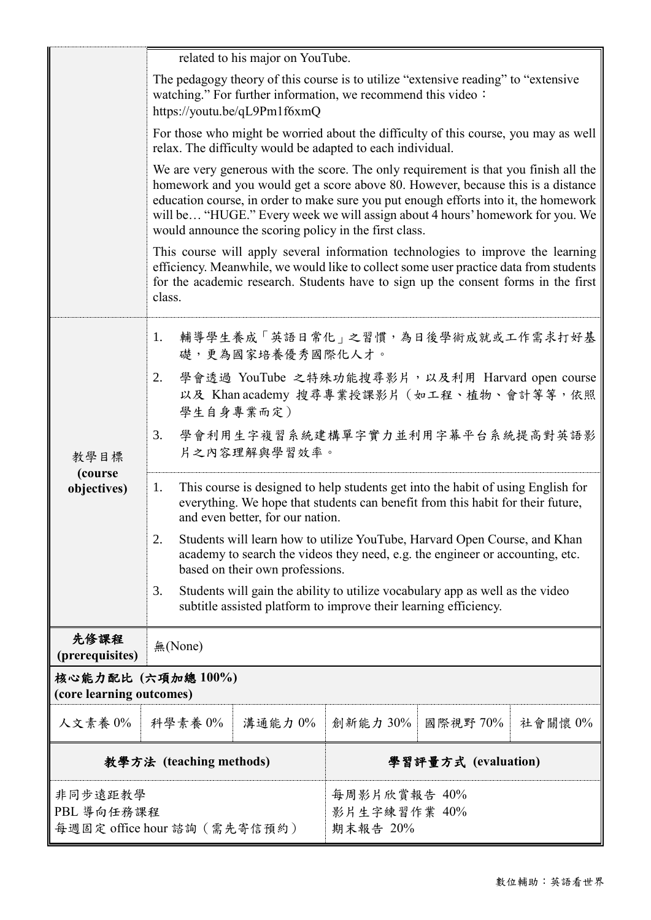|                                                       | related to his major on YouTube.                                                                                                                                                                                                                                                                                                                                                                           |                                          |          |                                  |         |
|-------------------------------------------------------|------------------------------------------------------------------------------------------------------------------------------------------------------------------------------------------------------------------------------------------------------------------------------------------------------------------------------------------------------------------------------------------------------------|------------------------------------------|----------|----------------------------------|---------|
|                                                       | The pedagogy theory of this course is to utilize "extensive reading" to "extensive"<br>watching." For further information, we recommend this video:<br>https://youtu.be/qL9Pm1f6xmQ                                                                                                                                                                                                                        |                                          |          |                                  |         |
|                                                       | For those who might be worried about the difficulty of this course, you may as well<br>relax. The difficulty would be adapted to each individual.                                                                                                                                                                                                                                                          |                                          |          |                                  |         |
|                                                       | We are very generous with the score. The only requirement is that you finish all the<br>homework and you would get a score above 80. However, because this is a distance<br>education course, in order to make sure you put enough efforts into it, the homework<br>will be "HUGE." Every week we will assign about 4 hours' homework for you. We<br>would announce the scoring policy in the first class. |                                          |          |                                  |         |
|                                                       | This course will apply several information technologies to improve the learning<br>efficiency. Meanwhile, we would like to collect some user practice data from students<br>for the academic research. Students have to sign up the consent forms in the first<br>class.                                                                                                                                   |                                          |          |                                  |         |
|                                                       | 1.                                                                                                                                                                                                                                                                                                                                                                                                         | 礎,更為國家培養優秀國際化人才。                         |          | 輔導學生養成「英語日常化」之習慣,為日後學術成就或工作需求打好基 |         |
| 教學目標<br>(course<br>objectives)                        | 學會透過 YouTube 之特殊功能搜尋影片, 以及利用 Harvard open course<br>2.<br>以及 Khan academy 搜尋專業授課影片 (如工程、植物、會計等等,依照<br>學生自身專業而定)                                                                                                                                                                                                                                                                                            |                                          |          |                                  |         |
|                                                       | 學會利用生字複習系統建構單字實力並利用字幕平台系統提高對英語影<br>3.<br>片之內容理解與學習效率。                                                                                                                                                                                                                                                                                                                                                      |                                          |          |                                  |         |
|                                                       | This course is designed to help students get into the habit of using English for<br>1.<br>everything. We hope that students can benefit from this habit for their future,<br>and even better, for our nation.                                                                                                                                                                                              |                                          |          |                                  |         |
|                                                       | Students will learn how to utilize YouTube, Harvard Open Course, and Khan<br>2.<br>academy to search the videos they need, e.g. the engineer or accounting, etc.<br>based on their own professions.                                                                                                                                                                                                        |                                          |          |                                  |         |
|                                                       | Students will gain the ability to utilize vocabulary app as well as the video<br>3.<br>subtitle assisted platform to improve their learning efficiency.                                                                                                                                                                                                                                                    |                                          |          |                                  |         |
| 先修課程<br>(prerequisites)                               | 無(None)                                                                                                                                                                                                                                                                                                                                                                                                    |                                          |          |                                  |         |
| 核心能力配比 (六項加總100%)<br>(core learning outcomes)         |                                                                                                                                                                                                                                                                                                                                                                                                            |                                          |          |                                  |         |
| 人文素養 0%                                               | 科學素養 0%                                                                                                                                                                                                                                                                                                                                                                                                    | 溝通能力 0%                                  | 創新能力 30% | 國際視野 70%                         | 社會關懷 0% |
| 教學方法 (teaching methods)                               |                                                                                                                                                                                                                                                                                                                                                                                                            | 學習評量方式 (evaluation)                      |          |                                  |         |
| 非同步遠距教學<br>PBL 導向任務課程<br>每週固定 office hour 諮詢 (需先寄信預約) |                                                                                                                                                                                                                                                                                                                                                                                                            | 每周影片欣賞報告 40%<br>影片生字練習作業 40%<br>期末報告 20% |          |                                  |         |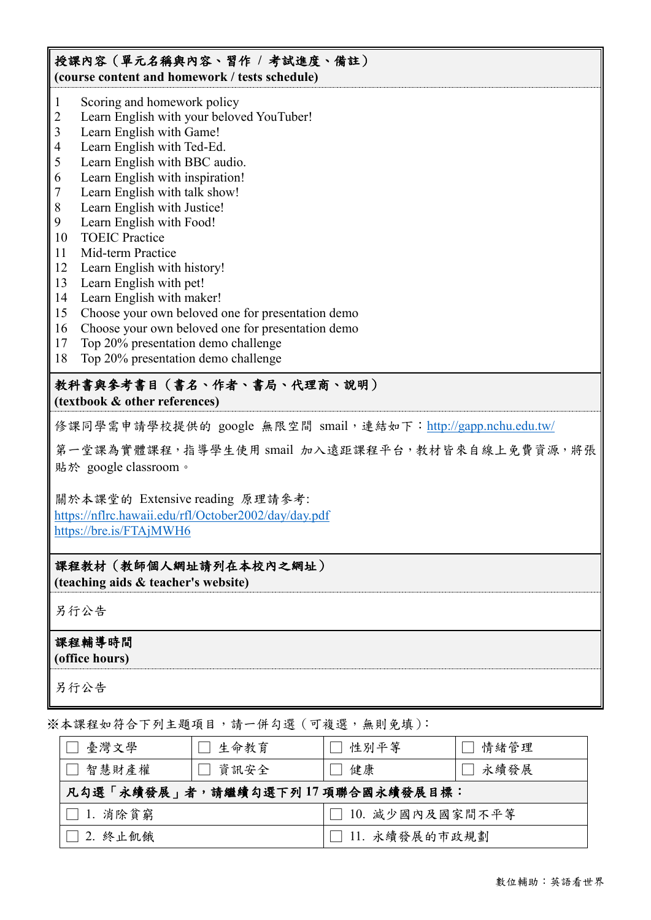## 授課內容(單元名稱與內容、習作 **/** 考試進度、備註) **(course content and homework / tests schedule)**

- 1 Scoring and homework policy
- 2 Learn English with your beloved YouTuber!
- 3 Learn English with Game!
- 4 Learn English with Ted-Ed.
- 5 Learn English with BBC audio.
- 6 Learn English with inspiration!
- 7 Learn English with talk show!
- 8 Learn English with Justice!
- 9 Learn English with Food!
- 10 TOEIC Practice
- 11 Mid-term Practice
- 12 Learn English with history!
- 13 Learn English with pet!
- 14 Learn English with maker!
- 15 Choose your own beloved one for presentation demo
- 16 Choose your own beloved one for presentation demo
- 17 Top 20% presentation demo challenge
- 18 Top 20% presentation demo challenge

## 教科書與參考書目(書名、作者、書局、代理商、說明)

**(textbook & other references)**

修課同學需申請學校提供的 google 無限空間 smail,連結如下: <http://gapp.nchu.edu.tw/>

第一堂課為實體課程,指導學生使用 smail 加入遠距課程平台,教材皆來自線上免費資源,將張 貼於 google classroom。

關於本課堂的 Extensive reading 原理請參考:

<https://nflrc.hawaii.edu/rfl/October2002/day/day.pdf> <https://bre.is/FTAjMWH6>

## 課程教材(教師個人網址請列在本校內之網址)

**(teaching aids & teacher's website)**

另行公告

## 課程輔導時間

**(office hours)**

另行公告

※本課程如符合下列主題項目,請一併勾選(可複選,無則免填):

| 臺灣文學                            | 生命教育   | □ 性別平等            | 情緒管理   |  |
|---------------------------------|--------|-------------------|--------|--|
| 智慧財產權                           | □ 資訊安全 | □ 健康              | □ 永續發展 |  |
| 凡勾選「永續發展」者,請繼續勾選下列17項聯合國永續發展目標: |        |                   |        |  |
| $\Box$ 1. 消除貧窮                  |        | □ 10. 減少國內及國家間不平等 |        |  |
| $\Box$ 2. 終止飢餓                  |        | □ 11. 永續發展的市政規劃   |        |  |